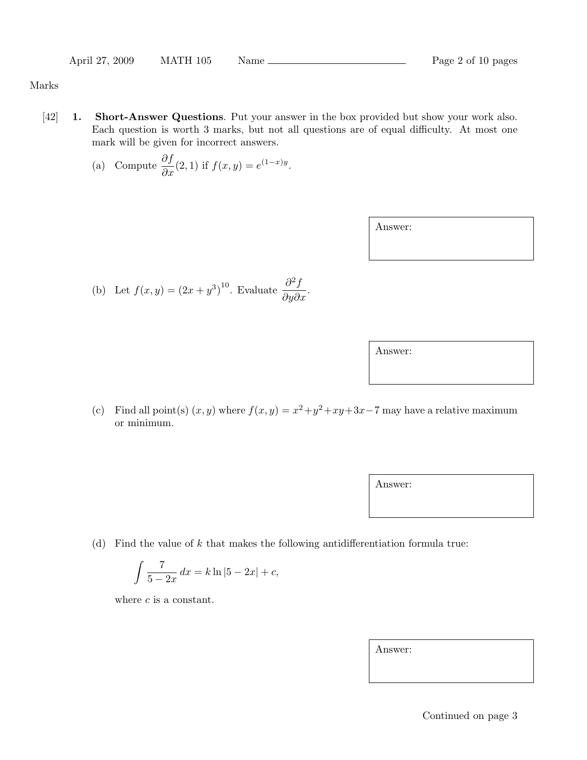## Marks

[42] **1.** Short-Answer Questions. Put your answer in the box provided but show your work also. Each question is worth 3 marks, but not all questions are of equal difficulty. At most one mark will be given for incorrect answers.

(a) Compute 
$$
\frac{\partial f}{\partial x}(2,1)
$$
 if  $f(x,y) = e^{(1-x)y}$ .

Answer:

(b) Let 
$$
f(x, y) = (2x + y^3)^{10}
$$
. Evaluate  $\frac{\partial^2 f}{\partial y \partial x}$ .

Answer:

(c) Find all point(s)  $(x, y)$  where  $f(x, y) = x^2 + y^2 + xy + 3x - 7$  may have a relative maximum or minimum.

Answer:

(d) Find the value of  $k$  that makes the following antidifferentiation formula true:

$$
\int \frac{7}{5 - 2x} \, dx = k \ln|5 - 2x| + c,
$$

where  $c$  is a constant.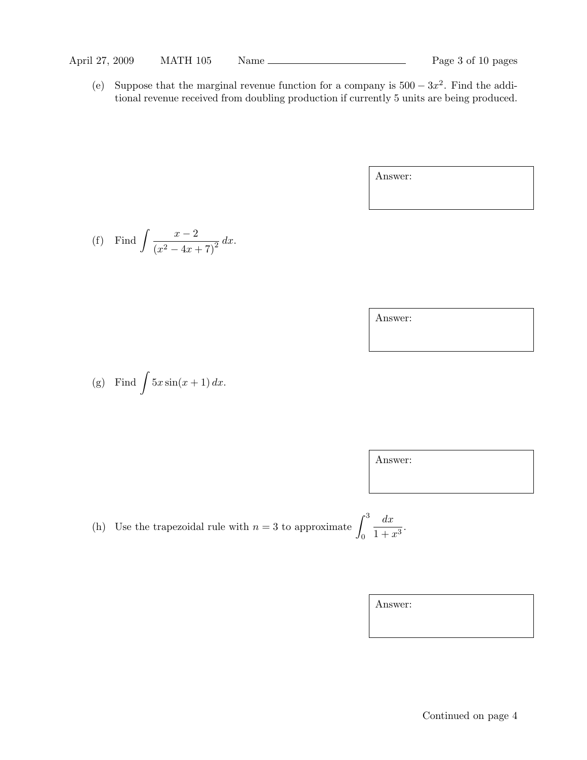(e) Suppose that the marginal revenue function for a company is  $500 - 3x^2$ . Find the additional revenue received from doubling production if currently 5 units are being produced.

Answer:

(f) Find 
$$
\int \frac{x-2}{(x^2-4x+7)^2} dx
$$
.

Answer:

(g) Find 
$$
\int 5x \sin(x+1) dx
$$
.

Answer:

(h) Use the trapezoidal rule with  $n = 3$  to approximate

$$
e \int_0^3 \frac{dx}{1+x^3}.
$$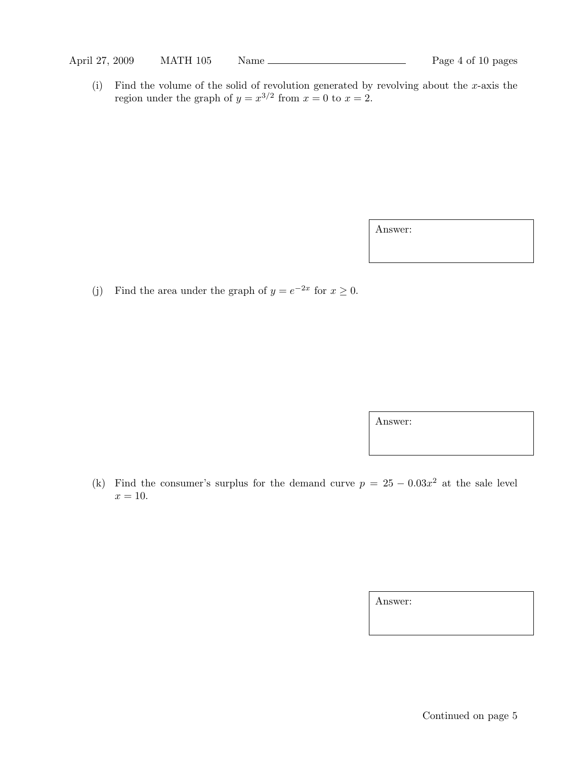(i) Find the volume of the solid of revolution generated by revolving about the x-axis the region under the graph of  $y = x^{3/2}$  from  $x = 0$  to  $x = 2$ .

Answer:

(j) Find the area under the graph of  $y = e^{-2x}$  for  $x \ge 0$ .

Answer:

(k) Find the consumer's surplus for the demand curve  $p = 25 - 0.03x^2$  at the sale level  $x = 10$ .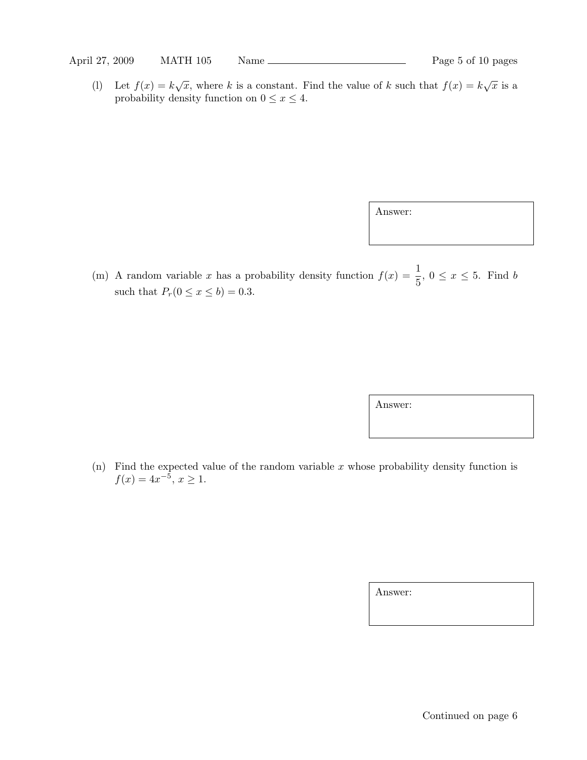(1) Let  $f(x) = k\sqrt{x}$ , where k is a constant. Find the value of k such that  $f(x) = k\sqrt{x}$  is a probability density function on  $0 \le x \le 4$ .

Answer:

(m) A random variable x has a probability density function  $f(x) = \frac{1}{5}$ ,  $0 \le x \le 5$ . Find b such that  $P_r(0 \le x \le b) = 0.3$ .

Answer:

(n) Find the expected value of the random variable x whose probability density function is  $f(x) = 4x^{-5}, x \ge 1.$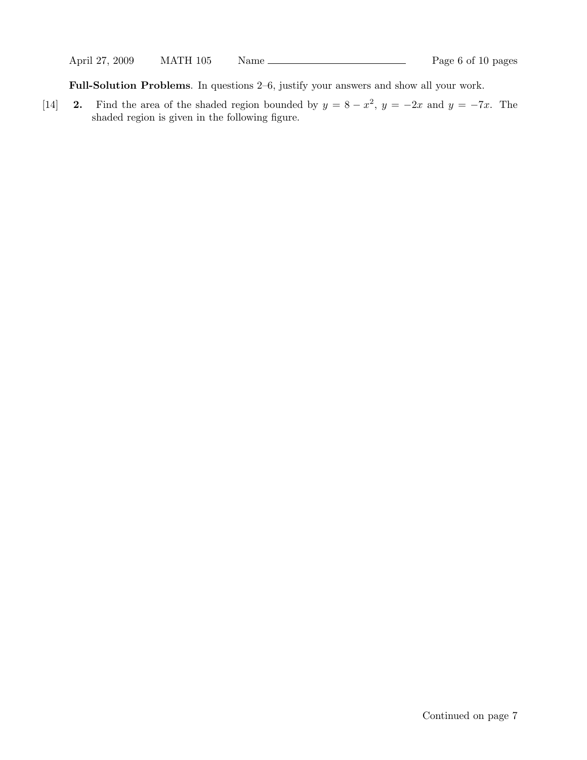Full-Solution Problems. In questions 2–6, justify your answers and show all your work.

[14] 2. Find the area of the shaded region bounded by  $y = 8 - x^2$ ,  $y = -2x$  and  $y = -7x$ . The shaded region is given in the following figure.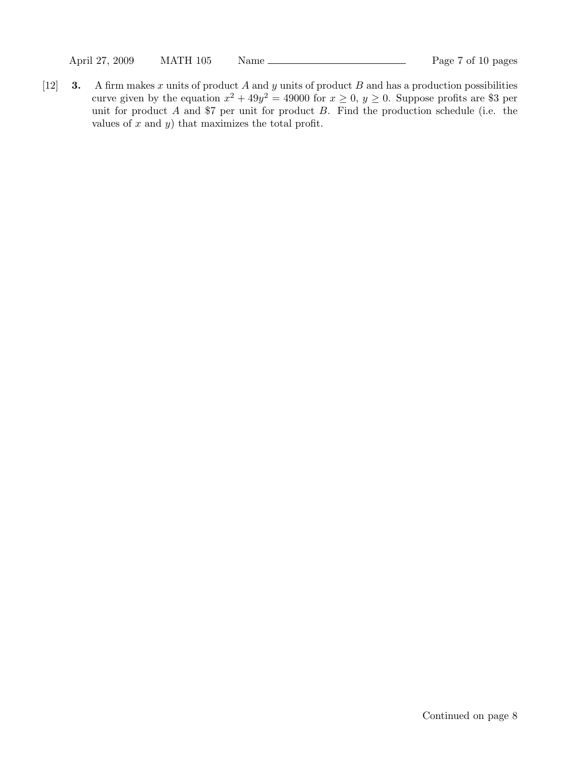[12] **3.** A firm makes x units of product A and y units of product B and has a production possibilities curve given by the equation  $x^2 + 49y^2 = 49000$  for  $x \ge 0$ ,  $y \ge 0$ . Suppose profits are \$3 per unit for product  $A$  and \$7 per unit for product  $B$ . Find the production schedule (i.e. the values of  $x$  and  $y$ ) that maximizes the total profit.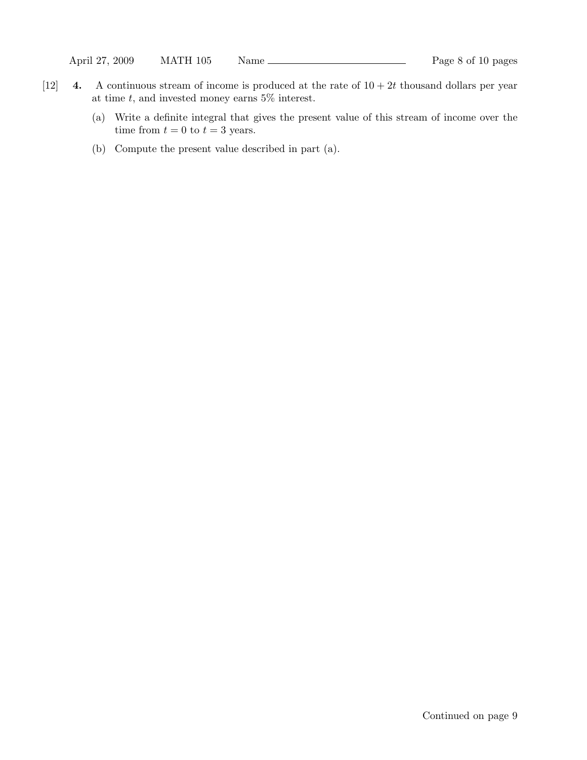- [12] 4. A continuous stream of income is produced at the rate of  $10 + 2t$  thousand dollars per year at time  $t$ , and invested money earns  $5\%$  interest.
	- (a) Write a definite integral that gives the present value of this stream of income over the time from  $t = 0$  to  $t = 3$  years.
	- (b) Compute the present value described in part (a).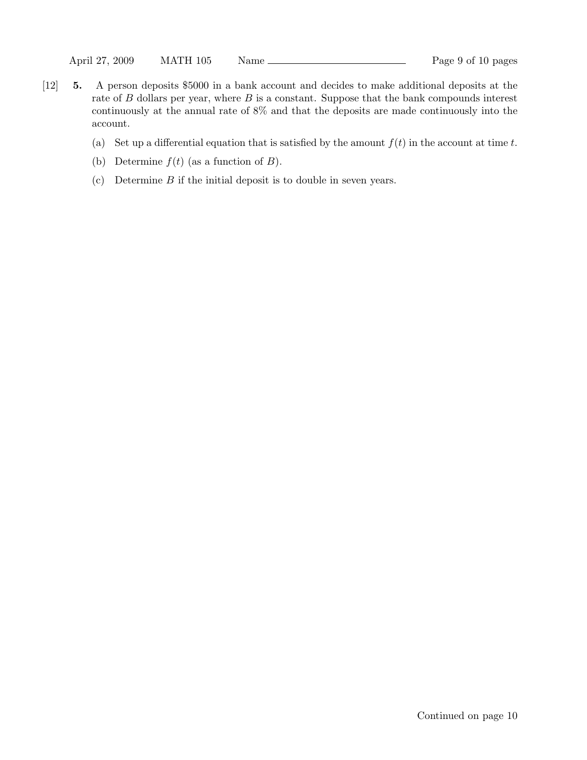- [12] 5. A person deposits \$5000 in a bank account and decides to make additional deposits at the rate of  $B$  dollars per year, where  $B$  is a constant. Suppose that the bank compounds interest continuously at the annual rate of 8% and that the deposits are made continuously into the account.
	- (a) Set up a differential equation that is satisfied by the amount  $f(t)$  in the account at time t.
	- (b) Determine  $f(t)$  (as a function of  $B$ ).
	- (c) Determine  $B$  if the initial deposit is to double in seven years.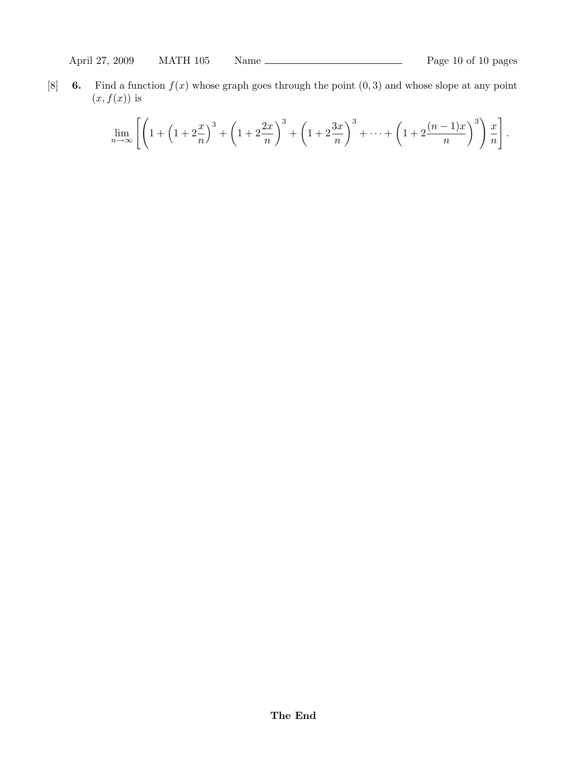[8] 6. Find a function  $f(x)$  whose graph goes through the point  $(0, 3)$  and whose slope at any point  $(x, f(x))$  is

$$
\lim_{n \to \infty} \left[ \left( 1 + \left( 1 + 2\frac{x}{n} \right)^3 + \left( 1 + 2\frac{2x}{n} \right)^3 + \left( 1 + 2\frac{3x}{n} \right)^3 + \dots + \left( 1 + 2\frac{(n-1)x}{n} \right)^3 \right) \frac{x}{n} \right].
$$